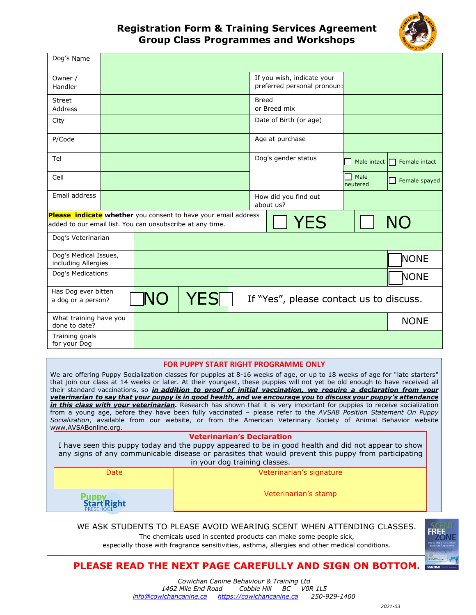

## **Registration Form & Training Services Agreement Group Class Programmes and Workshops**

| Dog's Name                                                |  |                                                                    |             |                                   |                                                           |                  |               |  |
|-----------------------------------------------------------|--|--------------------------------------------------------------------|-------------|-----------------------------------|-----------------------------------------------------------|------------------|---------------|--|
| Owner /<br>Handler                                        |  |                                                                    |             |                                   | If you wish, indicate your<br>preferred personal pronoun: |                  |               |  |
| <b>Street</b><br><b>Address</b>                           |  |                                                                    |             | <b>Breed</b>                      | or Breed mix                                              |                  |               |  |
| City                                                      |  |                                                                    |             |                                   | Date of Birth (or age)                                    |                  |               |  |
| P/Code                                                    |  |                                                                    |             |                                   | Age at purchase                                           |                  |               |  |
| Tel                                                       |  |                                                                    |             | Dog's gender status               | Male intact                                               | Female intact    |               |  |
| Cell                                                      |  |                                                                    |             |                                   |                                                           | Male<br>neutered | Female spayed |  |
| Email address                                             |  |                                                                    |             | How did you find out<br>about us? |                                                           |                  |               |  |
| added to our email list. You can unsubscribe at any time. |  | Please indicate whether you consent to have your email address     |             | <b>YES</b>                        |                                                           | <b>NO</b>        |               |  |
| Dog's Veterinarian                                        |  |                                                                    |             |                                   |                                                           |                  |               |  |
| Dog's Medical Issues,<br>including Allergies              |  |                                                                    | NONE        |                                   |                                                           |                  |               |  |
| Dog's Medications                                         |  |                                                                    | <b>NONE</b> |                                   |                                                           |                  |               |  |
| Has Dog ever bitten<br>a dog or a person?                 |  | <b>NO</b><br><b>YES</b><br>If "Yes", please contact us to discuss. |             |                                   |                                                           |                  |               |  |
| What training have you<br>done to date?                   |  |                                                                    | <b>NONE</b> |                                   |                                                           |                  |               |  |
| Training goals<br>for your Dog                            |  |                                                                    |             |                                   |                                                           |                  |               |  |

### **FOR PUPPY START RIGHT PROGRAMME ONLY**

We are offering Puppy Socialization classes for puppies at 8-16 weeks of age, or up to 18 weeks of age for "late starters" that join our class at 14 weeks or later. At their youngest, these puppies will not yet be old enough to have received all their standard vaccinations, so *in addition to proof of initial vaccination, we require a declaration from your veterinarian to say that your puppy is in good health, and we encourage you to discuss your puppy's attendance in this class with your veterinarian.* Research has shown that it is very important for puppies to receive socialization from a young age, before they have been fully vaccinated – please refer to the *AVSAB Position Statement On Puppy Socialization*, available from our website, or from the American Veterinary Society of Animal Behavior website [www.AVSABonline.org.](http://www.avsabonline.org/)

### **Veterinarian's Declaration**

I have seen this puppy today and the puppy appeared to be in good health and did not appear to show any signs of any communicable disease or parasites that would prevent this puppy from participating in your dog training classes.

| Date                         | Veterinarian's signature |
|------------------------------|--------------------------|
| <b>Puppy<br/>Start Right</b> | Veterinarian's stamp     |

WE ASK STUDENTS TO PLEASE AVOID WEARING SCENT WHEN ATTENDING CLASSES.

The chemicals used in scented products can make some people sick,

especially those with fragrance sensitivities, asthma, allergies and other medical conditions.

# **PLEASE READ THE NEXT PAGE CAREFULLY AND SIGN ON BOTTOM.**